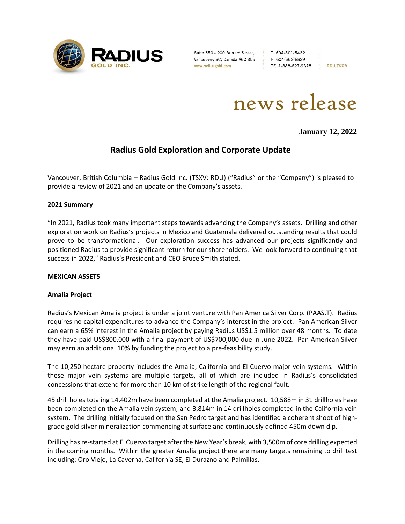

Suite 650 - 200 Burrard Street, Vancouver, BC, Canada V6C 3L6 www.radiusgold.com

T: 604-801-5432 F: 604-662-8829 TF: 1-888-627-9378

**RDU:TSX.V** 

news release

**January 12, 2022**

# **Radius Gold Exploration and Corporate Update**

Vancouver, British Columbia – Radius Gold Inc. (TSXV: RDU) ("Radius" or the "Company") is pleased to provide a review of 2021 and an update on the Company's assets.

# **2021 Summary**

"In 2021, Radius took many important steps towards advancing the Company's assets. Drilling and other exploration work on Radius's projects in Mexico and Guatemala delivered outstanding results that could prove to be transformational. Our exploration success has advanced our projects significantly and positioned Radius to provide significant return for our shareholders. We look forward to continuing that success in 2022," Radius's President and CEO Bruce Smith stated.

#### **MEXICAN ASSETS**

#### **Amalia Project**

Radius's Mexican Amalia project is under a joint venture with Pan America Silver Corp. (PAAS.T). Radius requires no capital expenditures to advance the Company's interest in the project. Pan American Silver can earn a 65% interest in the Amalia project by paying Radius US\$1.5 million over 48 months. To date they have paid US\$800,000 with a final payment of US\$700,000 due in June 2022. Pan American Silver may earn an additional 10% by funding the project to a pre-feasibility study.

The 10,250 hectare property includes the Amalia, California and El Cuervo major vein systems. Within these major vein systems are multiple targets, all of which are included in Radius's consolidated concessions that extend for more than 10 km of strike length of the regional fault.

45 drill holes totaling 14,402m have been completed at the Amalia project. 10,588m in 31 drillholes have been completed on the Amalia vein system, and 3,814m in 14 drillholes completed in the California vein system. The drilling initially focused on the San Pedro target and has identified a coherent shoot of highgrade gold-silver mineralization commencing at surface and continuously defined 450m down dip.

Drilling has re-started at El Cuervo target after the New Year's break, with 3,500m of core drilling expected in the coming months. Within the greater Amalia project there are many targets remaining to drill test including: Oro Viejo, La Caverna, California SE, El Durazno and Palmillas.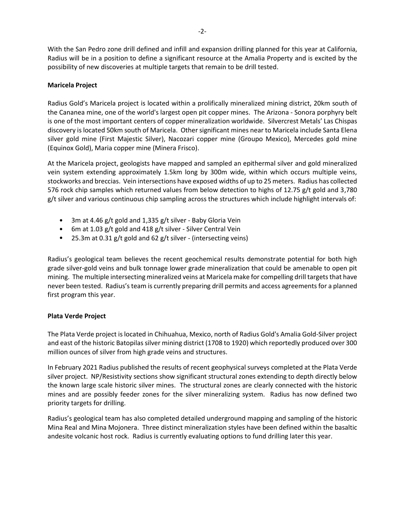With the San Pedro zone drill defined and infill and expansion drilling planned for this year at California, Radius will be in a position to define a significant resource at the Amalia Property and is excited by the possibility of new discoveries at multiple targets that remain to be drill tested.

# **Maricela Project**

Radius Gold's Maricela project is located within a prolifically mineralized mining district, 20km south of the Cananea mine, one of the world's largest open pit copper mines. The Arizona - Sonora porphyry belt is one of the most important centers of copper mineralization worldwide. Silvercrest Metals' Las Chispas discovery is located 50km south of Maricela. Other significant mines near to Maricela include Santa Elena silver gold mine (First Majestic Silver), Nacozari copper mine (Groupo Mexico), Mercedes gold mine (Equinox Gold), Maria copper mine (Minera Frisco).

At the Maricela project, geologists have mapped and sampled an epithermal silver and gold mineralized vein system extending approximately 1.5km long by 300m wide, within which occurs multiple veins, stockworks and breccias. Vein intersections have exposed widths of up to 25 meters. Radius has collected 576 rock chip samples which returned values from below detection to highs of 12.75 g/t gold and 3,780 g/t silver and various continuous chip sampling across the structures which include highlight intervals of:

- 3m at 4.46 g/t gold and 1,335 g/t silver Baby Gloria Vein
- 6m at 1.03 g/t gold and 418 g/t silver Silver Central Vein
- 25.3m at 0.31 g/t gold and 62 g/t silver (intersecting veins)

Radius's geological team believes the recent geochemical results demonstrate potential for both high grade silver-gold veins and bulk tonnage lower grade mineralization that could be amenable to open pit mining. The multiple intersecting mineralized veins at Maricela make for compelling drill targets that have never been tested. Radius's team is currently preparing drill permits and access agreements for a planned first program this year.

# **Plata Verde Project**

The Plata Verde project is located in Chihuahua, Mexico, north of Radius Gold's Amalia Gold-Silver project and east of the historic Batopilas silver mining district (1708 to 1920) which reportedly produced over 300 million ounces of silver from high grade veins and structures.

In February 2021 Radius published the results of recent geophysical surveys completed at the Plata Verde silver project. NP/Resistivity sections show significant structural zones extending to depth directly below the known large scale historic silver mines. The structural zones are clearly connected with the historic mines and are possibly feeder zones for the silver mineralizing system. Radius has now defined two priority targets for drilling.

Radius's geological team has also completed detailed underground mapping and sampling of the historic Mina Real and Mina Mojonera. Three distinct mineralization styles have been defined within the basaltic andesite volcanic host rock. Radius is currently evaluating options to fund drilling later this year.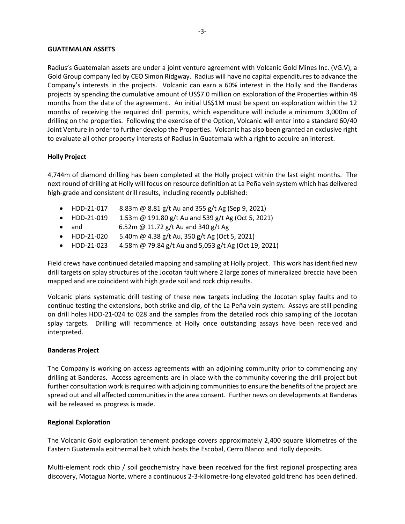#### **GUATEMALAN ASSETS**

Radius's Guatemalan assets are under a joint venture agreement with Volcanic Gold Mines Inc. (VG.V), a Gold Group company led by CEO Simon Ridgway. Radius will have no capital expenditures to advance the Company's interests in the projects. Volcanic can earn a 60% interest in the Holly and the Banderas projects by spending the cumulative amount of US\$7.0 million on exploration of the Properties within 48 months from the date of the agreement. An initial US\$1M must be spent on exploration within the 12 months of receiving the required drill permits, which expenditure will include a minimum 3,000m of drilling on the properties. Following the exercise of the Option, Volcanic will enter into a standard 60/40 Joint Venture in order to further develop the Properties. Volcanic has also been granted an exclusive right to evaluate all other property interests of Radius in Guatemala with a right to acquire an interest.

# **Holly Project**

4,744m of diamond drilling has been completed at the Holly project within the last eight months. The next round of drilling at Holly will focus on resource definition at La Peña vein system which has delivered high-grade and consistent drill results, including recently published:

- HDD-21-017 8.83m @ 8.81 g/t Au and 355 g/t Ag (Sep 9, 2021)
- HDD-21-019 1.53m @ 191.80 g/t Au and 539 g/t Ag (Oct 5, 2021)
- and  $6.52$ m @ 11.72 g/t Au and 340 g/t Ag
- HDD-21-020 5.40m @ 4.38 g/t Au, 350 g/t Ag (Oct 5, 2021)
- HDD-21-023 4.58m @ 79.84 g/t Au and 5,053 g/t Ag (Oct 19, 2021)

Field crews have continued detailed mapping and sampling at Holly project. This work has identified new drill targets on splay structures of the Jocotan fault where 2 large zones of mineralized breccia have been mapped and are coincident with high grade soil and rock chip results.

Volcanic plans systematic drill testing of these new targets including the Jocotan splay faults and to continue testing the extensions, both strike and dip, of the La Peña vein system. Assays are still pending on drill holes HDD-21-024 to 028 and the samples from the detailed rock chip sampling of the Jocotan splay targets. Drilling will recommence at Holly once outstanding assays have been received and interpreted.

#### **Banderas Project**

The Company is working on access agreements with an adjoining community prior to commencing any drilling at Banderas. Access agreements are in place with the community covering the drill project but further consultation work is required with adjoining communities to ensure the benefits of the project are spread out and all affected communities in the area consent. Further news on developments at Banderas will be released as progress is made.

#### **Regional Exploration**

The Volcanic Gold exploration tenement package covers approximately 2,400 square kilometres of the Eastern Guatemala epithermal belt which hosts the Escobal, Cerro Blanco and Holly deposits.

Multi-element rock chip / soil geochemistry have been received for the first regional prospecting area discovery, Motagua Norte, where a continuous 2-3-kilometre-long elevated gold trend has been defined.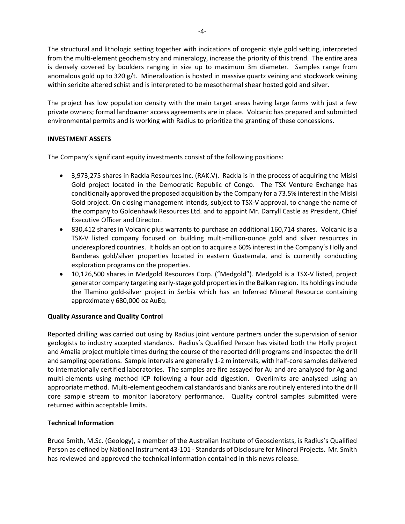The structural and lithologic setting together with indications of orogenic style gold setting, interpreted from the multi-element geochemistry and mineralogy, increase the priority of this trend. The entire area is densely covered by boulders ranging in size up to maximum 3m diameter. Samples range from anomalous gold up to 320 g/t. Mineralization is hosted in massive quartz veining and stockwork veining within sericite altered schist and is interpreted to be mesothermal shear hosted gold and silver.

The project has low population density with the main target areas having large farms with just a few private owners; formal landowner access agreements are in place. Volcanic has prepared and submitted environmental permits and is working with Radius to prioritize the granting of these concessions.

# **INVESTMENT ASSETS**

The Company's significant equity investments consist of the following positions:

- 3,973,275 shares in Rackla Resources Inc. (RAK.V). Rackla is in the process of acquiring the Misisi Gold project located in the Democratic Republic of Congo. The TSX Venture Exchange has conditionally approved the proposed acquisition by the Company for a 73.5% interest in the Misisi Gold project. On closing management intends, subject to TSX-V approval, to change the name of the company to Goldenhawk Resources Ltd. and to appoint Mr. Darryll Castle as President, Chief Executive Officer and Director.
- 830,412 shares in Volcanic plus warrants to purchase an additional 160,714 shares. Volcanic is a TSX-V listed company focused on building multi-million-ounce gold and silver resources in underexplored countries. It holds an option to acquire a 60% interest in the Company's Holly and Banderas gold/silver properties located in eastern Guatemala, and is currently conducting exploration programs on the properties.
- 10,126,500 shares in Medgold Resources Corp. ("Medgold"). Medgold is a TSX-V listed, project generator company targeting early-stage gold properties in the Balkan region. Its holdings include the Tlamino gold-silver project in Serbia which has an Inferred Mineral Resource containing approximately 680,000 oz AuEq.

# **Quality Assurance and Quality Control**

Reported drilling was carried out using by Radius joint venture partners under the supervision of senior geologists to industry accepted standards. Radius's Qualified Person has visited both the Holly project and Amalia project multiple times during the course of the reported drill programs and inspected the drill and sampling operations. Sample intervals are generally 1-2 m intervals, with half-core samples delivered to internationally certified laboratories. The samples are fire assayed for Au and are analysed for Ag and multi-elements using method ICP following a four-acid digestion. Overlimits are analysed using an appropriate method. Multi-element geochemical standards and blanks are routinely entered into the drill core sample stream to monitor laboratory performance. Quality control samples submitted were returned within acceptable limits.

# **Technical Information**

Bruce Smith, M.Sc. (Geology), a member of the Australian Institute of Geoscientists, is Radius's Qualified Person as defined by National Instrument 43-101 - Standards of Disclosure for Mineral Projects. Mr. Smith has reviewed and approved the technical information contained in this news release.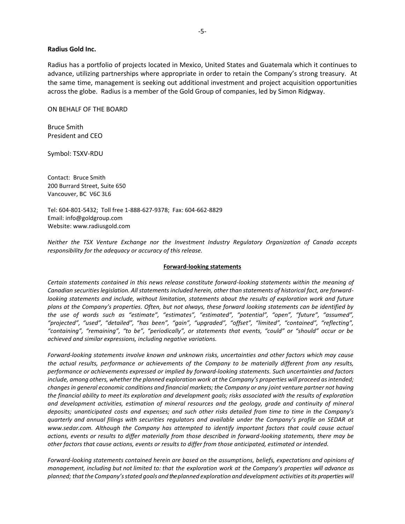#### **Radius Gold Inc.**

Radius has a portfolio of projects located in Mexico, United States and Guatemala which it continues to advance, utilizing partnerships where appropriate in order to retain the Company's strong treasury. At the same time, management is seeking out additional investment and project acquisition opportunities across the globe. Radius is a member of the Gold Group of companies, led by Simon Ridgway.

ON BEHALF OF THE BOARD

Bruce Smith President and CEO

Symbol: TSXV-RDU

Contact: Bruce Smith 200 Burrard Street, Suite 650 Vancouver, BC V6C 3L6

Tel: 604-801-5432; Toll free 1-888-627-9378; Fax: 604-662-8829 Email: info@goldgroup.com Website: www.radiusgold.com

*Neither the TSX Venture Exchange nor the Investment Industry Regulatory Organization of Canada accepts responsibility for the adequacy or accuracy of this release.*

#### **Forward-looking statements**

*Certain statements contained in this news release constitute forward-looking statements within the meaning of Canadian securities legislation. All statements included herein, other than statements of historical fact, are forwardlooking statements and include, without limitation, statements about the results of exploration work and future plans at the Company's properties. Often, but not always, these forward looking statements can be identified by the use of words such as "estimate", "estimates", "estimated", "potential", "open", "future", "assumed", "projected", "used", "detailed", "has been", "gain", "upgraded", "offset", "limited", "contained", "reflecting", "containing", "remaining", "to be", "periodically", or statements that events, "could" or "should" occur or be achieved and similar expressions, including negative variations.*

*Forward-looking statements involve known and unknown risks, uncertainties and other factors which may cause the actual results, performance or achievements of the Company to be materially different from any results, performance or achievements expressed or implied by forward-looking statements. Such uncertainties and factors*  include, among others, whether the planned exploration work at the Company's properties will proceed as intended; *changes in general economic conditions and financial markets; the Company or any joint venture partner not having the financial ability to meet its exploration and development goals; risks associated with the results of exploration and development activities, estimation of mineral resources and the geology, grade and continuity of mineral deposits; unanticipated costs and expenses; and such other risks detailed from time to time in the Company's quarterly and annual filings with securities regulators and available under the Company's profile on SEDAR at [www.sedar.com.](http://www.sedar.com/) Although the Company has attempted to identify important factors that could cause actual actions, events or results to differ materially from those described in forward-looking statements, there may be other factors that cause actions, events or results to differ from those anticipated, estimated or intended.*

*Forward-looking statements contained herein are based on the assumptions, beliefs, expectations and opinions of management, including but not limited to: that the exploration work at the Company's properties will advance as planned; thatthe Company'sstated goals and the planned exploration and development activities at its properties will*